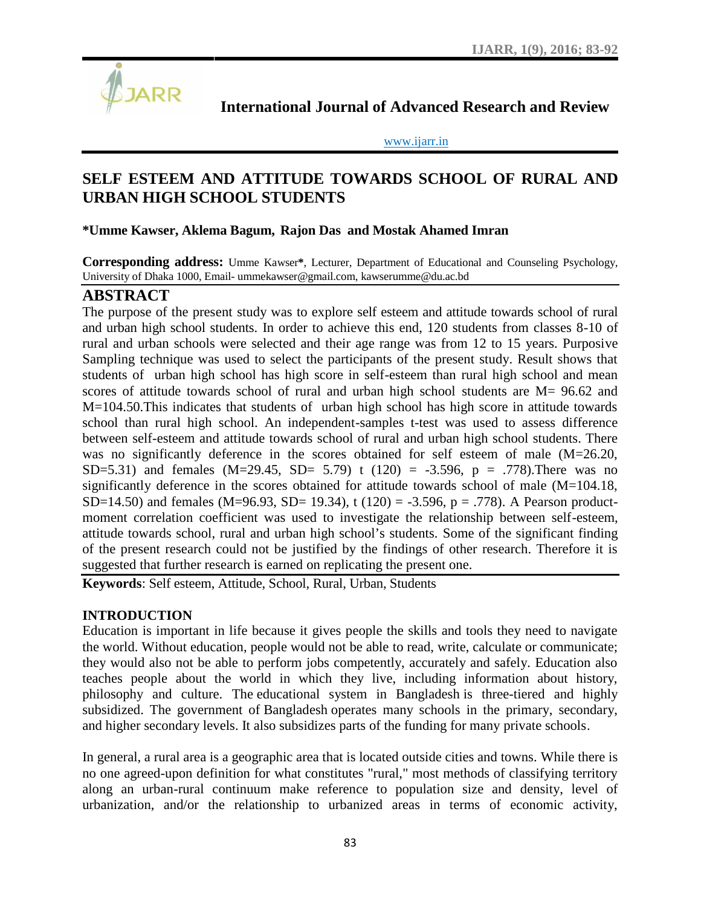

**International Journal of Advanced Research and Review**

www.ijarr.in

# **SELF ESTEEM AND ATTITUDE TOWARDS SCHOOL OF RURAL AND URBAN HIGH SCHOOL STUDENTS**

### **\*Umme Kawser, Aklema Bagum, Rajon Das and Mostak Ahamed Imran**

**Corresponding address:** Umme Kawser**\***, Lecturer, Department of Educational and Counseling Psychology, University of Dhaka 1000, Email- ummekawser@gmail.com, kawserumme@du.ac.bd

## **ABSTRACT**

The purpose of the present study was to explore self esteem and attitude towards school of rural and urban high school students. In order to achieve this end, 120 students from classes 8-10 of rural and urban schools were selected and their age range was from 12 to 15 years. Purposive Sampling technique was used to select the participants of the present study. Result shows that students of urban high school has high score in self-esteem than rural high school and mean scores of attitude towards school of rural and urban high school students are M= 96.62 and M=104.50.This indicates that students of urban high school has high score in attitude towards school than rural high school. An independent-samples t-test was used to assess difference between self-esteem and attitude towards school of rural and urban high school students. There was no significantly deference in the scores obtained for self esteem of male (M=26.20, SD=5.31) and females (M=29.45, SD= 5.79) t (120) = -3.596, p = .778). There was no significantly deference in the scores obtained for attitude towards school of male (M=104.18, SD=14.50) and females (M=96.93, SD= 19.34), t (120) = -3.596, p = .778). A Pearson productmoment correlation coefficient was used to investigate the relationship between self-esteem, attitude towards school, rural and urban high school's students. Some of the significant finding of the present research could not be justified by the findings of other research. Therefore it is suggested that further research is earned on replicating the present one.

**Keywords**: Self esteem, Attitude, School, Rural, Urban, Students

#### **INTRODUCTION**

Education is important in life because it gives people the skills and tools they need to navigate the world. Without education, people would not be able to read, write, calculate or communicate; they would also not be able to perform jobs competently, accurately and safely. Education also teaches people about the world in which they live, including information about history, philosophy and culture. The educational system in Bangladesh is three-tiered and highly subsidized. The government of Bangladesh operates many schools in the primary, secondary, and higher secondary levels. It also subsidizes parts of the funding for many private schools.

In general, a rural area is a geographic area that is located outside cities and towns. While there is no one agreed-upon definition for what constitutes "rural," most methods of classifying territory along an urban-rural continuum make reference to population size and density, level of urbanization, and/or the relationship to urbanized areas in terms of economic activity,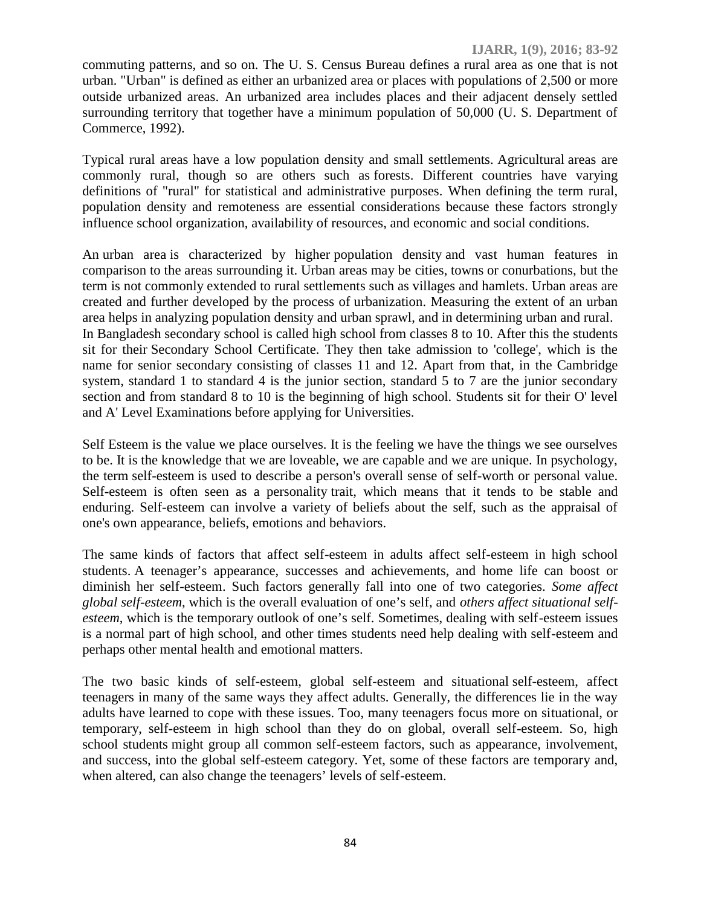commuting patterns, and so on. The U. S. Census Bureau defines a rural area as one that is not urban. "Urban" is defined as either an urbanized area or places with populations of 2,500 or more outside urbanized areas. An urbanized area includes places and their adjacent densely settled surrounding territory that together have a minimum population of 50,000 (U. S. Department of Commerce, 1992).

Typical rural areas have a low population density and small settlements. Agricultural areas are commonly rural, though so are others such as forests. Different countries have varying definitions of "rural" for statistical and administrative purposes. When defining the term rural, population density and remoteness are essential considerations because these factors strongly influence school organization, availability of resources, and economic and social conditions.

An urban area is characterized by higher population density and vast human features in comparison to the areas surrounding it. Urban areas may be cities, towns or conurbations, but the term is not commonly extended to rural settlements such as villages and hamlets. Urban areas are created and further developed by the process of urbanization. Measuring the extent of an urban area helps in analyzing population density and urban sprawl, and in determining urban and rural. In Bangladesh secondary school is called high school from classes 8 to 10. After this the students sit for their Secondary School Certificate. They then take admission to 'college', which is the name for senior secondary consisting of classes 11 and 12. Apart from that, in the Cambridge system, standard 1 to standard 4 is the junior section, standard 5 to 7 are the junior secondary section and from standard 8 to 10 is the beginning of high school. Students sit for their O' level and A' Level Examinations before applying for Universities.

Self Esteem is the value we place ourselves. It is the feeling we have the things we see ourselves to be. It is the knowledge that we are loveable, we are capable and we are unique. In psychology, the term self-esteem is used to describe a person's overall sense of self-worth or personal value. Self-esteem is often seen as a personality trait, which means that it tends to be stable and enduring. Self-esteem can involve a variety of beliefs about the self, such as the appraisal of one's own appearance, beliefs, emotions and behaviors.

The same kinds of factors that affect self-esteem in adults affect self-esteem in high school students. A teenager's appearance, successes and achievements, and home life can boost or diminish her self-esteem. Such factors generally fall into one of two categories. *Some affect global self-esteem*, which is the overall evaluation of one's self, and *others affect situational self esteem*, which is the temporary outlook of one's self. Sometimes, dealing with self-esteem issues is a normal part of high school, and other times students need help dealing with self-esteem and perhaps other mental health and emotional matters.

The two basic kinds of self-esteem, global self-esteem and situational self-esteem, affect teenagers in many of the same ways they affect adults. Generally, the differences lie in the way adults have learned to cope with these issues. Too, many teenagers focus more on situational, or temporary, self-esteem in high school than they do on global, overall self-esteem. So, high school students might group all common self-esteem factors, such as appearance, involvement, and success, into the global self-esteem category. Yet, some of these factors are temporary and, when altered, can also change the teenagers' levels of self-esteem.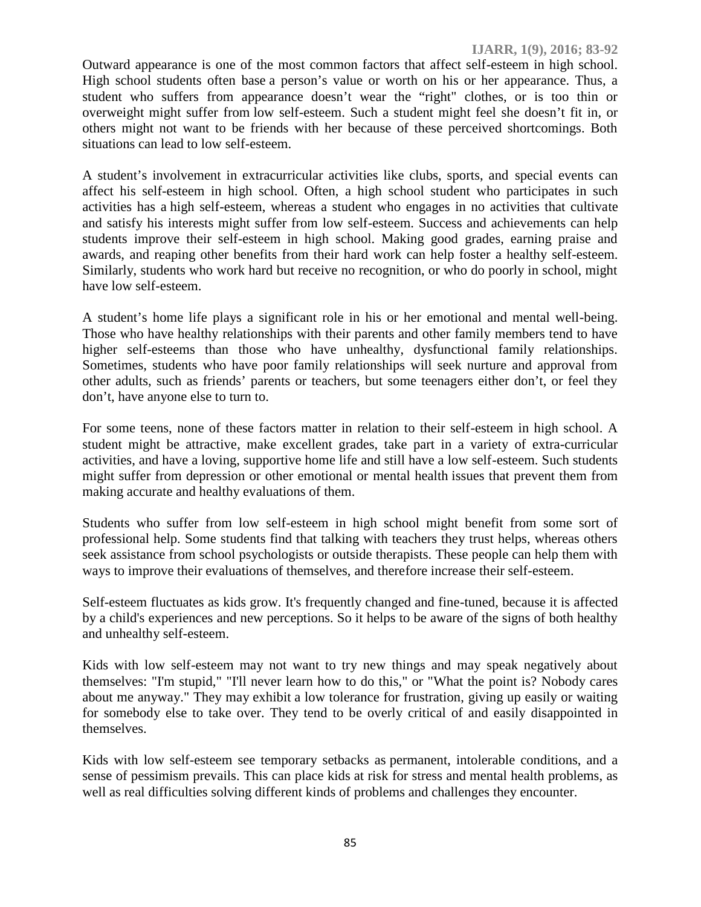Outward appearance is one of the most common factors that affect self-esteem in high school. High school students often base a person's value or worth on his or her appearance. Thus, a student who suffers from appearance doesn't wear the "right" clothes, or is too thin or overweight might suffer from low self-esteem. Such a student might feel she doesn't fit in, or others might not want to be friends with her because of these perceived shortcomings. Both situations can lead to low self-esteem.

A student's involvement in extracurricular activities like clubs, sports, and special events can affect his self-esteem in high school. Often, a high school student who participates in such activities has a high self-esteem, whereas a student who engages in no activities that cultivate and satisfy his interests might suffer from low self-esteem. Success and achievements can help students improve their self-esteem in high school. Making good grades, earning praise and awards, and reaping other benefits from their hard work can help foster a healthy self-esteem. Similarly, students who work hard but receive no recognition, or who do poorly in school, might have low self-esteem.

A student's home life plays a significant role in his or her emotional and mental well-being. Those who have healthy relationships with their parents and other family members tend to have higher self-esteems than those who have unhealthy, dysfunctional family relationships. Sometimes, students who have poor family relationships will seek nurture and approval from other adults, such as friends' parents or teachers, but some teenagers either don't, or feel they don't, have anyone else to turn to.

For some teens, none of these factors matter in relation to their self-esteem in high school. A student might be attractive, make excellent grades, take part in a variety of extra-curricular activities, and have a loving, supportive home life and still have a low self-esteem. Such students might suffer from depression or other emotional or mental health issues that prevent them from making accurate and healthy evaluations of them.

Students who suffer from low self-esteem in high school might benefit from some sort of professional help. Some students find that talking with teachers they trust helps, whereas others seek assistance from school psychologists or outside therapists. These people can help them with ways to improve their evaluations of themselves, and therefore increase their self-esteem.

Self-esteem fluctuates as kids grow. It's frequently changed and fine-tuned, because it is affected by a child's experiences and new perceptions. So it helps to be aware of the signs of both healthy and unhealthy self-esteem.

Kids with low self-esteem may not want to try new things and may speak negatively about themselves: "I'm stupid," "I'll never learn how to do this," or "What the point is? Nobody cares about me anyway." They may exhibit a low tolerance for frustration, giving up easily or waiting for somebody else to take over. They tend to be overly critical of and easily disappointed in themselves.

Kids with low self-esteem see temporary setbacks as permanent, intolerable conditions, and a sense of pessimism prevails. This can place kids at risk for stress and mental health problems, as well as real difficulties solving different kinds of problems and challenges they encounter.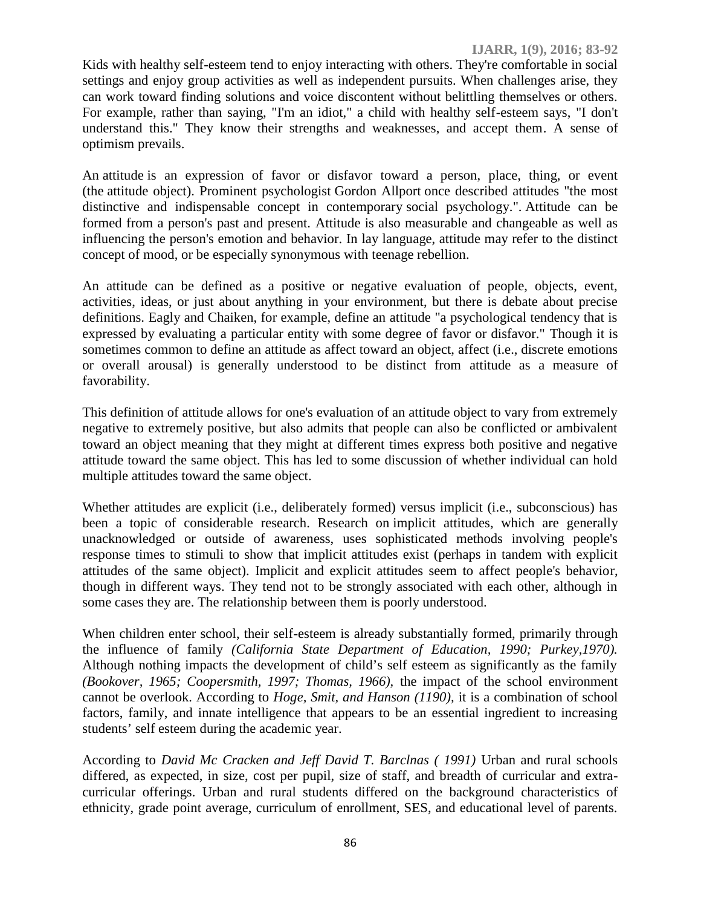Kids with healthy self-esteem tend to enjoy interacting with others. They're comfortable in social settings and enjoy group activities as well as independent pursuits. When challenges arise, they can work toward finding solutions and voice discontent without belittling themselves or others. For example, rather than saying, "I'm an idiot," a child with healthy self-esteem says, "I don't understand this." They know their strengths and weaknesses, and accept them. A sense of optimism prevails.

An attitude is an expression of favor or disfavor toward a person, place, thing, or event (the attitude object). Prominent psychologist Gordon Allport once described attitudes "the most distinctive and indispensable concept in contemporary social psychology.". Attitude can be formed from a person's past and present. Attitude is also measurable and changeable as well as influencing the person's emotion and behavior. In lay language, attitude may refer to the distinct concept of mood, or be especially synonymous with teenage rebellion.

An attitude can be defined as a positive or negative evaluation of people, objects, event, activities, ideas, or just about anything in your environment, but there is debate about precise definitions. Eagly and Chaiken, for example, define an attitude "a psychological tendency that is expressed by evaluating a particular entity with some degree of favor or disfavor." Though it is sometimes common to define an attitude as affect toward an object, affect (i.e., discrete emotions or overall arousal) is generally understood to be distinct from attitude as a measure of favorability.

This definition of attitude allows for one's evaluation of an attitude object to vary from extremely negative to extremely positive, but also admits that people can also be conflicted or ambivalent toward an object meaning that they might at different times express both positive and negative attitude toward the same object. This has led to some discussion of whether individual can hold multiple attitudes toward the same object.

Whether attitudes are explicit (i.e., deliberately formed) versus implicit (i.e., subconscious) has been a topic of considerable research. Research on implicit attitudes, which are generally unacknowledged or outside of awareness, uses sophisticated methods involving people's response times to stimuli to show that implicit attitudes exist (perhaps in tandem with explicit attitudes of the same object). Implicit and explicit attitudes seem to affect people's behavior, though in different ways. They tend not to be strongly associated with each other, although in some cases they are. The relationship between them is poorly understood.

When children enter school, their self-esteem is already substantially formed, primarily through the influence of family *(California State Department of Education, 1990; Purkey,1970).* Although nothing impacts the development of child's self esteem as significantly as the family *(Bookover, 1965; Coopersmith, 1997; Thomas, 1966),* the impact of the school environment cannot be overlook. According to *Hoge, Smit, and Hanson (1190),* it is a combination of school factors, family, and innate intelligence that appears to be an essential ingredient to increasing students' self esteem during the academic year.

According to *David Mc Cracken and Jeff David T. Barclnas ( 1991)* Urban and rural schools differed, as expected, in size, cost per pupil, size of staff, and breadth of curricular and extra curricular offerings. Urban and rural students differed on the background characteristics of ethnicity, grade point average, curriculum of enrollment, SES, and educational level of parents.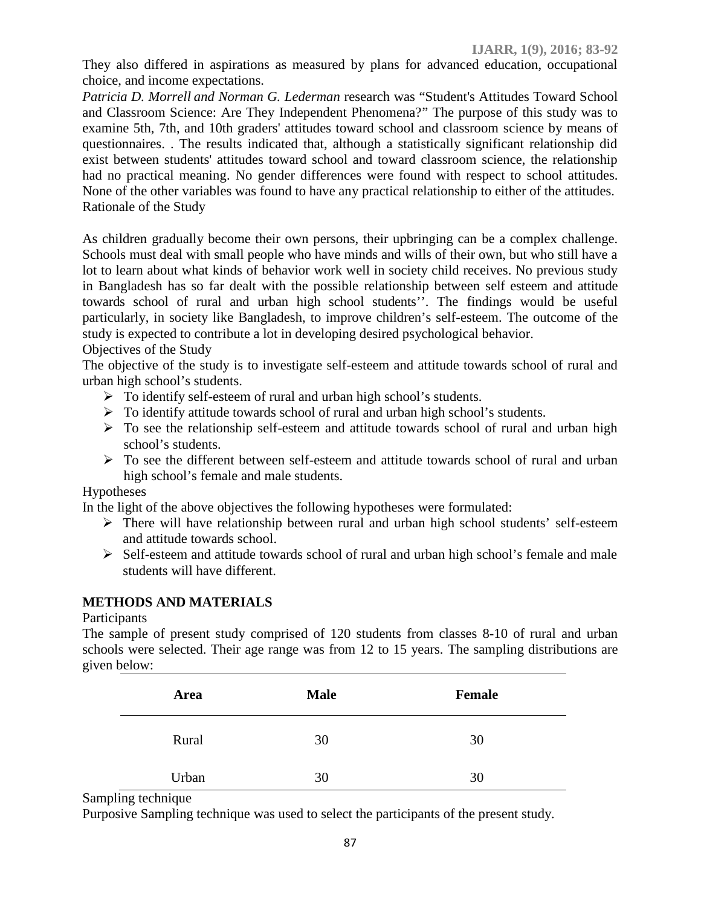They also differed in aspirations as measured by plans for advanced education, occupational choice, and income expectations.

*Patricia D. Morrell and Norman G. Lederman* research was "Student's Attitudes Toward School and Classroom Science: Are They Independent Phenomena?" The purpose of this study was to examine 5th, 7th, and 10th graders' attitudes toward school and classroom science by means of questionnaires. . The results indicated that, although a statistically significant relationship did exist between students' attitudes toward school and toward classroom science, the relationship had no practical meaning. No gender differences were found with respect to school attitudes. None of the other variables was found to have any practical relationship to either of the attitudes. Rationale of the Study

As children gradually become their own persons, their upbringing can be a complex challenge. Schools must deal with small people who have minds and wills of their own, but who still have a lot to learn about what kinds of behavior work well in society child receives. No previous study in Bangladesh has so far dealt with the possible relationship between self esteem and attitude towards school of rural and urban high school students''. The findings would be useful particularly, in society like Bangladesh, to improve children's self-esteem. The outcome of the study is expected to contribute a lot in developing desired psychological behavior.

Objectives of the Study

The objective of the study is to investigate self-esteem and attitude towards school of rural and urban high school's students.

- > To identify self-esteem of rural and urban high school's students.
- $\triangleright$  To identify attitude towards school of rural and urban high school's students.
- $\triangleright$  To see the relationship self-esteem and attitude towards school of rural and urban high school's students.
- $\triangleright$  To see the different between self-esteem and attitude towards school of rural and urban high school's female and male students.

## Hypotheses

In the light of the above objectives the following hypotheses were formulated:

- There will have relationship between rural and urban high school students' self-esteem and attitude towards school.
- $\triangleright$  Self-esteem and attitude towards school of rural and urban high school's female and male students will have different.

## **METHODS AND MATERIALS**

#### Participants

The sample of present study comprised of 120 students from classes 8-10 of rural and urban schools were selected. Their age range was from 12 to 15 years. The sampling distributions are given below:

| Area  | <b>Male</b> | <b>Female</b> |
|-------|-------------|---------------|
| Rural | 30          | 30            |
| Urban | 30          | 30            |

Sampling technique

Purposive Sampling technique was used to select the participants of the present study.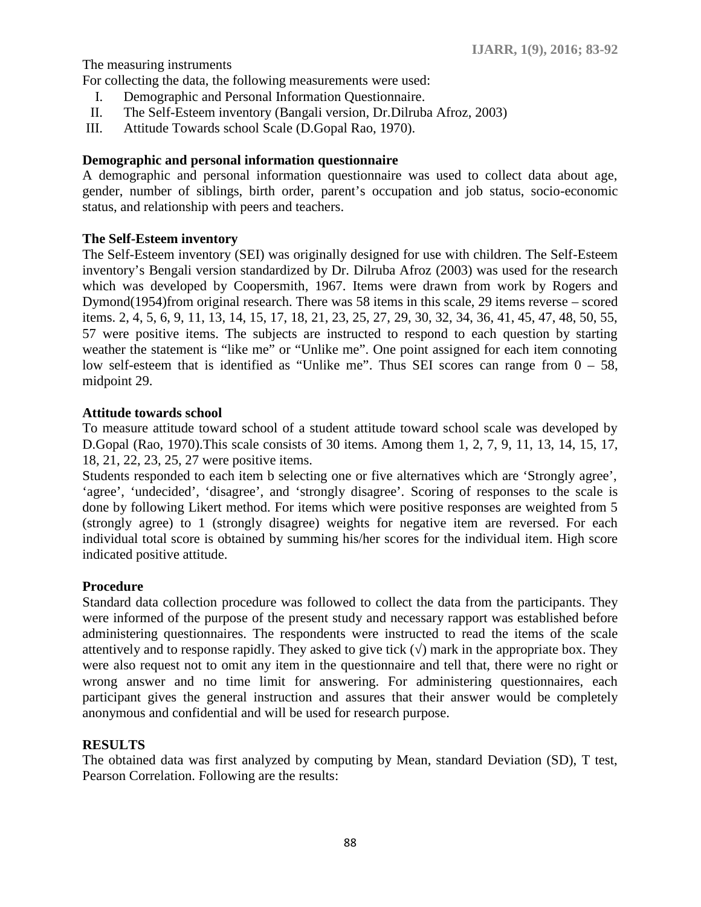The measuring instruments

For collecting the data, the following measurements were used:

- I. Demographic and Personal Information Questionnaire.
- II. The Self-Esteem inventory (Bangali version, Dr.Dilruba Afroz, 2003)
- III. Attitude Towards school Scale (D.Gopal Rao, 1970).

### **Demographic and personal information questionnaire**

A demographic and personal information questionnaire was used to collect data about age, gender, number of siblings, birth order, parent's occupation and job status, socio-economic status, and relationship with peers and teachers.

#### **The Self-Esteem inventory**

The Self-Esteem inventory (SEI) was originally designed for use with children. The Self-Esteem inventory's Bengali version standardized by Dr. Dilruba Afroz (2003) was used for the research which was developed by Coopersmith, 1967. Items were drawn from work by Rogers and Dymond(1954)from original research. There was 58 items in this scale, 29 items reverse – scored items. 2, 4, 5, 6, 9, 11, 13, 14, 15, 17, 18, 21, 23, 25, 27, 29, 30, 32, 34, 36, 41, 45, 47, 48, 50, 55, 57 were positive items. The subjects are instructed to respond to each question by starting weather the statement is "like me" or "Unlike me". One point assigned for each item connoting low self-esteem that is identified as "Unlike me". Thus SEI scores can range from  $0 - 58$ , midpoint 29.

#### **Attitude towards school**

To measure attitude toward school of a student attitude toward school scale was developed by D.Gopal (Rao, 1970).This scale consists of 30 items. Among them 1, 2, 7, 9, 11, 13, 14, 15, 17, 18, 21, 22, 23, 25, 27 were positive items.

Students responded to each item b selecting one or five alternatives which are 'Strongly agree', 'agree', 'undecided', 'disagree', and 'strongly disagree'. Scoring of responses to the scale is done by following Likert method. For items which were positive responses are weighted from 5 (strongly agree) to 1 (strongly disagree) weights for negative item are reversed. For each individual total score is obtained by summing his/her scores for the individual item. High score indicated positive attitude.

#### **Procedure**

Standard data collection procedure was followed to collect the data from the participants. They were informed of the purpose of the present study and necessary rapport was established before administering questionnaires. The respondents were instructed to read the items of the scale attentively and to response rapidly. They asked to give tick  $($ ) mark in the appropriate box. They were also request not to omit any item in the questionnaire and tell that, there were no right or wrong answer and no time limit for answering. For administering questionnaires, each participant gives the general instruction and assures that their answer would be completely anonymous and confidential and will be used for research purpose.

#### **RESULTS**

The obtained data was first analyzed by computing by Mean, standard Deviation (SD), T test, Pearson Correlation. Following are the results: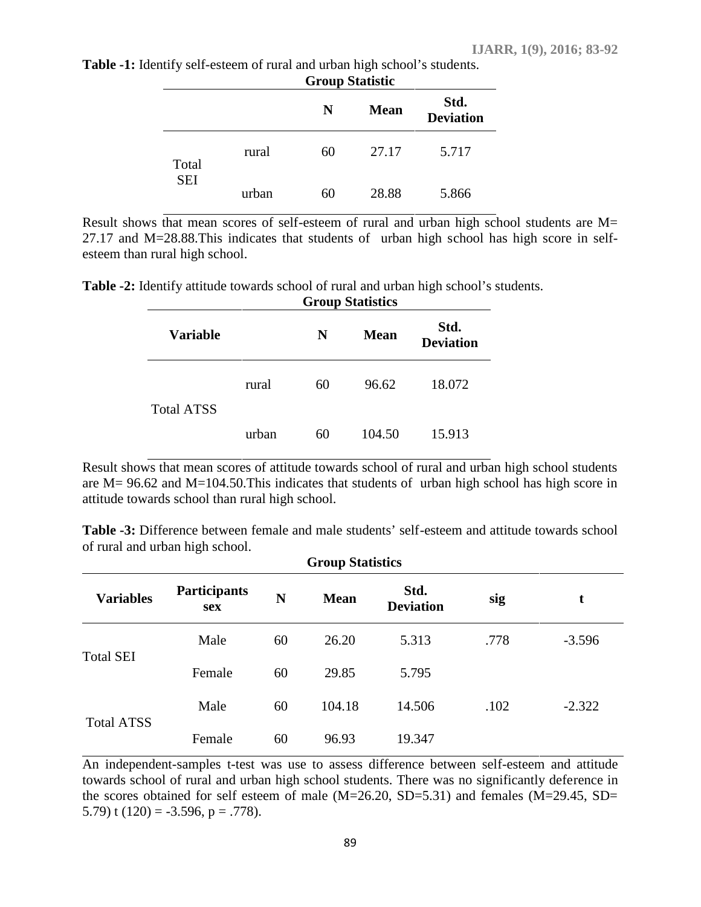|                     |       | Group Statistic |             |                          |  |
|---------------------|-------|-----------------|-------------|--------------------------|--|
|                     |       | N               | <b>Mean</b> | Std.<br><b>Deviation</b> |  |
| Total<br><b>SEI</b> | rural | 60              | 27.17       | 5.717                    |  |
|                     | urban | 60              | 28.88       | 5.866                    |  |

**Table -1:** Identify self-esteem of rural and urban high school's students. **Group Statistic**

Result shows that mean scores of self-esteem of rural and urban high school students are M= 27.17 and M=28.88.This indicates that students of urban high school has high score in self esteem than rural high school.

**Table -2:** Identify attitude towards school of rural and urban high school's students.

| <b>Group Statistics</b> |       |    |             |                          |  |  |
|-------------------------|-------|----|-------------|--------------------------|--|--|
| <b>Variable</b>         |       | N  | <b>Mean</b> | Std.<br><b>Deviation</b> |  |  |
| <b>Total ATSS</b>       | rural | 60 | 96.62       | 18.072                   |  |  |
|                         | urban | 60 | 104.50      | 15.913                   |  |  |

Result shows that mean scores of attitude towards school of rural and urban high school students are M= 96.62 and M=104.50.This indicates that students of urban high school has high score in attitude towards school than rural high school.

**Table -3:** Difference between female and male students' self-esteem and attitude towards school of rural and urban high school.

| <b>Group Statistics</b> |                                   |    |             |                          |      |          |  |
|-------------------------|-----------------------------------|----|-------------|--------------------------|------|----------|--|
| <b>Variables</b>        | <b>Participants</b><br><b>sex</b> | N  | <b>Mean</b> | Std.<br><b>Deviation</b> | sig  | t        |  |
| <b>Total SEI</b>        | Male                              | 60 | 26.20       | 5.313                    | .778 | $-3.596$ |  |
|                         | Female                            | 60 | 29.85       | 5.795                    |      |          |  |
| <b>Total ATSS</b>       | Male                              | 60 | 104.18      | 14.506                   | .102 | $-2.322$ |  |
|                         | Female                            | 60 | 96.93       | 19.347                   |      |          |  |

An independent-samples t-test was use to assess difference between self-esteem and attitude towards school of rural and urban high school students. There was no significantly deference in the scores obtained for self esteem of male  $(M=26.20, SD=5.31)$  and females  $(M=29.45, SD=$ 5.79) t  $(120) = -3.596$ ,  $p = .778$ ).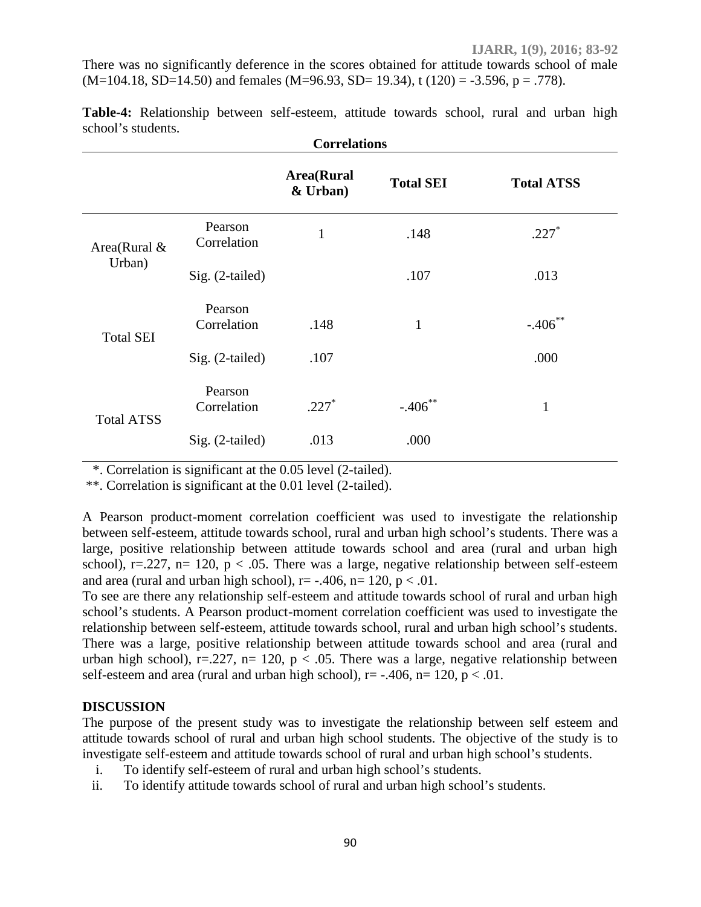There was no significantly deference in the scores obtained for attitude towards school of male  $(M=104.18, SD=14.50)$  and females  $(M=96.93, SD=19.34)$ , t  $(120) = -3.596$ , p = .778).

| <b>Correlations</b>    |                        |                                |                  |                   |  |
|------------------------|------------------------|--------------------------------|------------------|-------------------|--|
|                        |                        | <b>Area</b> (Rural<br>& Urban) | <b>Total SEI</b> | <b>Total ATSS</b> |  |
| Area(Rural &<br>Urban) | Pearson<br>Correlation | 1                              | .148             | $.227*$           |  |
|                        | Sig. (2-tailed)        |                                | .107             | .013              |  |
| <b>Total SEI</b>       | Pearson<br>Correlation | .148                           | $\mathbf{1}$     | $-.406$ **        |  |
|                        | Sig. (2-tailed)        | .107                           |                  | .000              |  |
| <b>Total ATSS</b>      | Pearson<br>Correlation | $.227*$                        | $-.406$ **       | 1                 |  |
|                        | Sig. (2-tailed)        | .013                           | .000             |                   |  |

**Table-4:** Relationship between self-esteem, attitude towards school, rural and urban high school's students.

\*. Correlation is significant at the 0.05 level (2-tailed).

\*\*. Correlation is significant at the 0.01 level (2-tailed).

A Pearson product-moment correlation coefficient was used to investigate the relationship between self-esteem, attitude towards school, rural and urban high school's students. There was a large, positive relationship between attitude towards school and area (rural and urban high school), r=.227, n= 120,  $p < .05$ . There was a large, negative relationship between self-esteem and area (rural and urban high school),  $r = -.406$ ,  $n = 120$ ,  $p < .01$ .

To see are there any relationship self-esteem and attitude towards school of rural and urban high school's students. A Pearson product-moment correlation coefficient was used to investigate the relationship between self-esteem, attitude towards school, rural and urban high school's students. There was a large, positive relationship between attitude towards school and area (rural and urban high school), r=.227, n= 120, p < .05. There was a large, negative relationship between self-esteem and area (rural and urban high school),  $r = -0.406$ ,  $n = 120$ ,  $p < 0.01$ .

#### **DISCUSSION**

The purpose of the present study was to investigate the relationship between self esteem and attitude towards school of rural and urban high school students. The objective of the study is to investigate self-esteem and attitude towards school of rural and urban high school's students.

- i. To identify self-esteem of rural and urban high school's students.
- ii. To identify attitude towards school of rural and urban high school's students.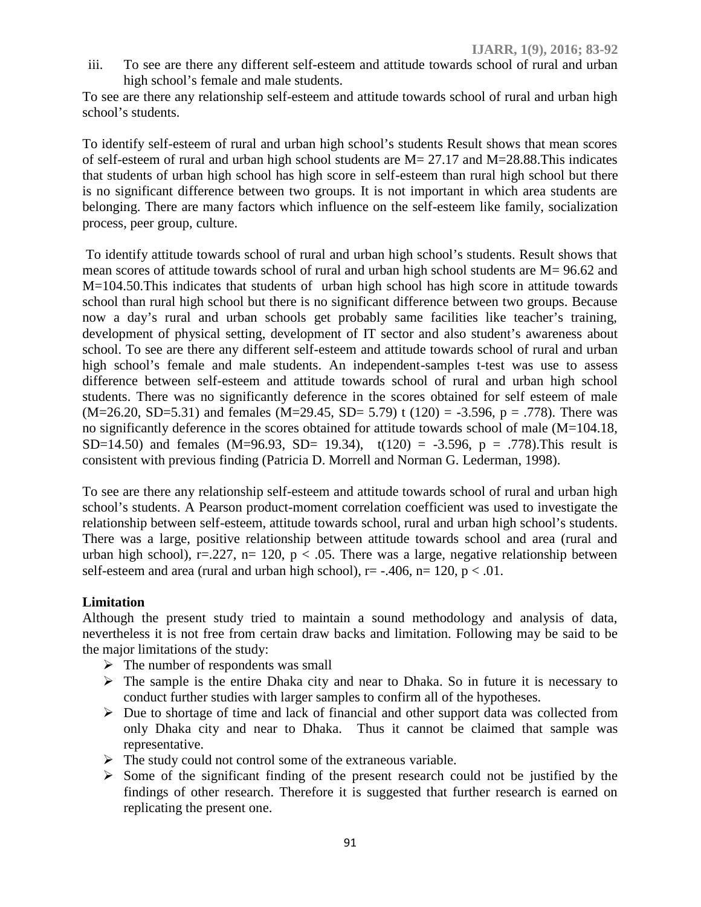iii. To see are there any different self-esteem and attitude towards school of rural and urban high school's female and male students.

To see are there any relationship self-esteem and attitude towards school of rural and urban high school's students.

To identify self-esteem of rural and urban high school's students Result shows that mean scores of self-esteem of rural and urban high school students are M= 27.17 and M=28.88.This indicates that students of urban high school has high score in self-esteem than rural high school but there is no significant difference between two groups. It is not important in which area students are belonging. There are many factors which influence on the self-esteem like family, socialization process, peer group, culture.

To identify attitude towards school of rural and urban high school's students. Result shows that mean scores of attitude towards school of rural and urban high school students are M= 96.62 and M=104.50.This indicates that students of urban high school has high score in attitude towards school than rural high school but there is no significant difference between two groups. Because now a day's rural and urban schools get probably same facilities like teacher's training, development of physical setting, development of IT sector and also student's awareness about school. To see are there any different self-esteem and attitude towards school of rural and urban high school's female and male students. An independent-samples t-test was use to assess difference between self-esteem and attitude towards school of rural and urban high school students. There was no significantly deference in the scores obtained for self esteem of male  $(M=26.20, SD=5.31)$  and females  $(M=29.45, SD=5.79)$  t  $(120) = -3.596, p = .778$ . There was no significantly deference in the scores obtained for attitude towards school of male (M=104.18, SD=14.50) and females (M=96.93, SD= 19.34),  $t(120) = -3.596$ , p = .778). This result is consistent with previous finding (Patricia D. Morrell and Norman G. Lederman, 1998).

To see are there any relationship self-esteem and attitude towards school of rural and urban high school's students. A Pearson product-moment correlation coefficient was used to investigate the relationship between self-esteem, attitude towards school, rural and urban high school's students. There was a large, positive relationship between attitude towards school and area (rural and urban high school), r=.227, n= 120, p < .05. There was a large, negative relationship between self-esteem and area (rural and urban high school),  $r = -0.406$ ,  $n = 120$ ,  $p < 0.01$ .

#### **Limitation**

Although the present study tried to maintain a sound methodology and analysis of data, nevertheless it is not free from certain draw backs and limitation. Following may be said to be the major limitations of the study:

- $\triangleright$  The number of respondents was small
- $\triangleright$  The sample is the entire Dhaka city and near to Dhaka. So in future it is necessary to conduct further studies with larger samples to confirm all of the hypotheses.
- $\triangleright$  Due to shortage of time and lack of financial and other support data was collected from only Dhaka city and near to Dhaka. Thus it cannot be claimed that sample was representative.
- $\triangleright$  The study could not control some of the extraneous variable.
- $\triangleright$  Some of the significant finding of the present research could not be justified by the findings of other research. Therefore it is suggested that further research is earned on replicating the present one.